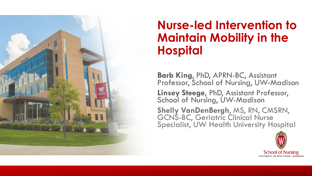

### **Nurse-led Intervention to Maintain Mobility in the Hospital**

**Barb King**, PhD, APRN-BC, Assistant Professor, School of Nursing, UW-Madison

**Linsey Steege**, PhD, Assistant Professor, School of Nursing, UW-Madison

**Shelly VanDenBergh**, MS, RN, CMSRN, GCNS-BC, Geriatric Clinical Nurse Specialist, UW Health University Hospital

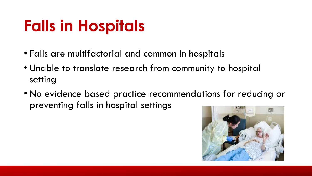## **Falls in Hospitals**

- Falls are multifactorial and common in hospitals
- Unable to translate research from community to hospital setting
- No evidence based practice recommendations for reducing or preventing falls in hospital settings

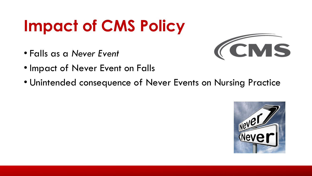# **Impact of CMS Policy**

• Falls as a *Never Event*



- Impact of Never Event on Falls
- Unintended consequence of Never Events on Nursing Practice

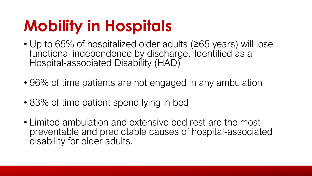## **Mobility in Hospitals**

- Up to 65% of hospitalized older adults (≥65 years) will lose functional independence by discharge. Identified as a Hospital-associated Disability (HAD)
- 96% of time patients are not engaged in any ambulation
- 83% of time patient spend lying in bed
- Limited ambulation and extensive bed rest are the most preventable and predictable causes of hospital-associated disability for older adults.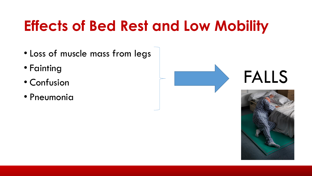## **Effects of Bed Rest and Low Mobility**

- Loss of muscle mass from legs
- Fainting
- Confusion
- Pneumonia

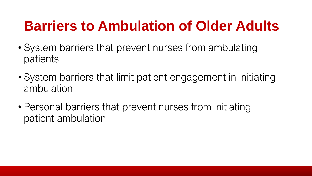### **Barriers to Ambulation of Older Adults**

- System barriers that prevent nurses from ambulating patients
- System barriers that limit patient engagement in initiating ambulation
- Personal barriers that prevent nurses from initiating patient ambulation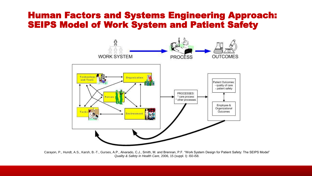#### Human Factors and Systems Engineering Approach: SEIPS Model of Work System and Patient Safety



Carayon, P., Hundt, A.S., Karsh, B.-T., Gurses, A.P., Alvarado, C.J., Smith, M. and Brennan, P.F. "Work System Design for Patient Safety: The SEIPS Model" *Quality & Safety in Health Care*, 2006, 15 (suppl. I): i50-i58.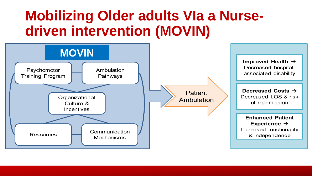### **Mobilizing Older adults VIa a Nursedriven intervention (MOVIN)**

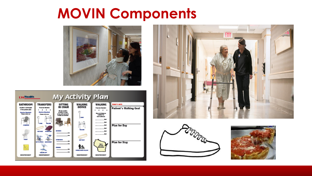### **MOVIN Components**









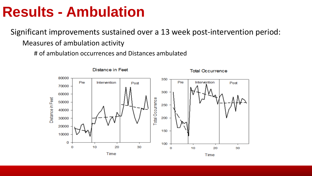### **Results - Ambulation**

Significant improvements sustained over a 13 week post-intervention period: Measures of ambulation activity

# of ambulation occurrences and Distances ambulated

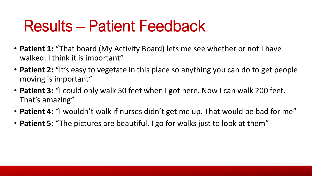## Results – Patient Feedback

- **Patient 1:** "That board (My Activity Board) lets me see whether or not I have walked. I think it is important"
- **Patient 2:** "It's easy to vegetate in this place so anything you can do to get people moving is important"
- **Patient 3:** "I could only walk 50 feet when I got here. Now I can walk 200 feet. That's amazing"
- **Patient 4:** "I wouldn't walk if nurses didn't get me up. That would be bad for me"
- **Patient 5:** "The pictures are beautiful. I go for walks just to look at them"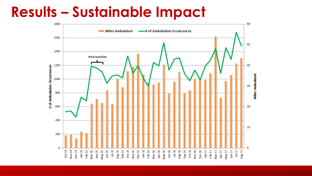### **Results – Sustainable Impact**